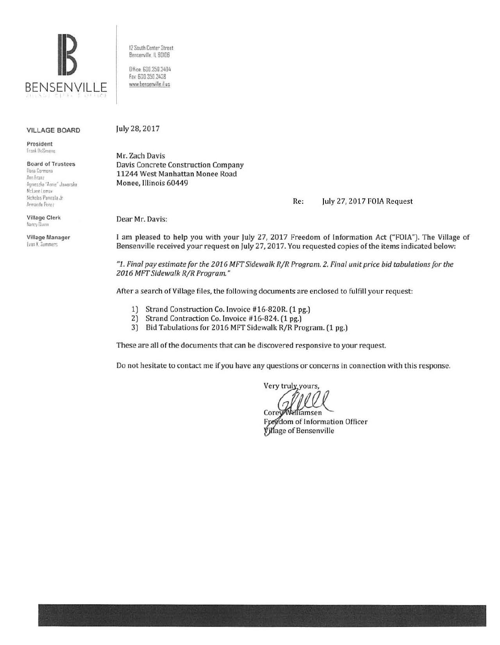

12 South Center Street Bensenville, IL 60106

Office: 630,350,3404 Fax 630 350 3438 www.bensenville.il.us

#### **VILLAGE BOARD**

President Frank BeSmong

**Board of Trustees** Rosa Carmona Ann Franz Agnieszka "Annie" Jawerska McLane Lomax Nicholas Panicola Jr Armando Perez

**Village Clerk** Nancy Dunn

Village Manager Evan K. Summers

July 28, 2017

Mr. Zach Davis Davis Concrete Construction Company 11244 West Manhattan Monee Road Monee, Illinois 60449

> Re: July 27, 2017 FOIA Request

Dear Mr. Davis:

I am pleased to help you with your July 27, 2017 Freedom of Information Act ("FOIA"). The Village of Bensenville received your request on July 27, 2017. You requested copies of the items indicated below:

"1. Final pay estimate for the 2016 MFT Sidewalk R/R Program. 2. Final unit price bid tabulations for the 2016 MFT Sidewalk R/R Program."

After a search of Village files, the following documents are enclosed to fulfill your request:

- 1) Strand Construction Co. Invoice #16-820R. (1 pg.)
- $2)$ Strand Contraction Co. Invoice #16-824. (1 pg.)
- 3) Bid Tabulations for 2016 MFT Sidewalk R/R Program. (1 pg.)

These are all of the documents that can be discovered responsive to your request.

Do not hesitate to contact me if you have any questions or concerns in connection with this response.

Very truly, yours,

Corey Williamsen Freedom of Information Officer Village of Bensenville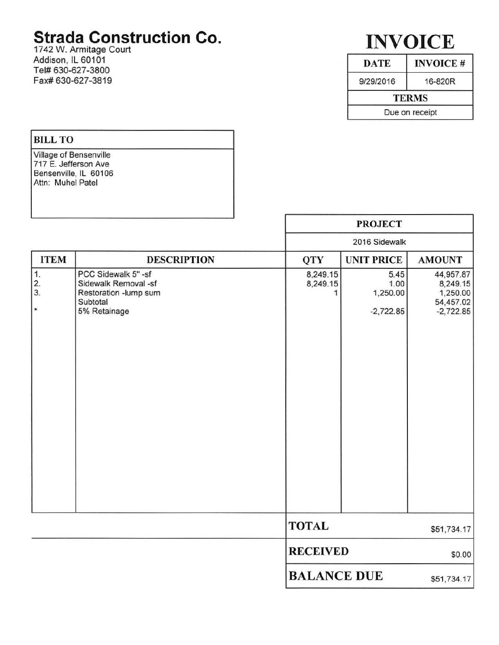## **Strada Construction Co.**

1742 W. Armitage Court Addison, IL 60101 Tel# 630-627-3800 Fax# 630-627 -3819

# **INVOICE**

| <b>DATE</b>    | <b>INVOICE#</b> |  |  |  |  |  |  |  |  |
|----------------|-----------------|--|--|--|--|--|--|--|--|
| 9/29/2016      | 16-820R         |  |  |  |  |  |  |  |  |
|                | <b>TERMS</b>    |  |  |  |  |  |  |  |  |
| Due on receipt |                 |  |  |  |  |  |  |  |  |

٦

### BILL TO

Village of Bensenville 717 E. Jefferson Ave Bensenville, IL 60106 Attn: Muhel Patel

|                       |                                                                                                  |                      | <b>PROJECT</b>                          |                                                               |  |  |  |  |  |  |  |
|-----------------------|--------------------------------------------------------------------------------------------------|----------------------|-----------------------------------------|---------------------------------------------------------------|--|--|--|--|--|--|--|
|                       |                                                                                                  |                      | 2016 Sidewalk                           |                                                               |  |  |  |  |  |  |  |
| <b>ITEM</b>           | <b>DESCRIPTION</b>                                                                               | QTY                  | <b>UNIT PRICE</b>                       | <b>AMOUNT</b>                                                 |  |  |  |  |  |  |  |
| 1.<br>2.3.<br>$\star$ | PCC Sidewalk 5" -sf<br>Sidewalk Removal -sf<br>Restoration -lump sum<br>Subtotal<br>5% Retainage | 8,249.15<br>8,249.15 | 5.45<br>1.00<br>1,250.00<br>$-2,722.85$ | 44,957.87<br>8,249.15<br>1,250.00<br>54,457.02<br>$-2,722.85$ |  |  |  |  |  |  |  |
|                       |                                                                                                  | <b>TOTAL</b>         |                                         | \$51,734.17                                                   |  |  |  |  |  |  |  |
|                       |                                                                                                  |                      | <b>RECEIVED</b>                         |                                                               |  |  |  |  |  |  |  |
|                       |                                                                                                  |                      | <b>BALANCE DUE</b>                      |                                                               |  |  |  |  |  |  |  |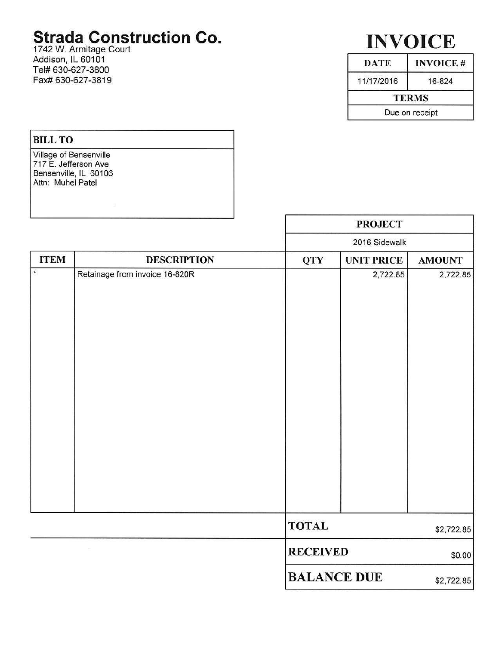## **Strada Construction Co.**

1742 W. Armitage Court Addison, IL 60101 Tel# 630-627-3800 Fax# 630-627-3819

# **INVOICE**

| <b>DATE</b>    | <b>INVOICE#</b> |  |  |  |  |  |  |  |  |
|----------------|-----------------|--|--|--|--|--|--|--|--|
| 11/17/2016     | 16-824          |  |  |  |  |  |  |  |  |
| <b>TERMS</b>   |                 |  |  |  |  |  |  |  |  |
| Due on receipt |                 |  |  |  |  |  |  |  |  |

### BILL TO Village of Bensenville 717 E. Jefferson Ave Bensenville, IL 60106 Attn: Muhel Patel

|             |                                | <b>PROJECT</b>     |                   |               |  |  |  |  |  |  |
|-------------|--------------------------------|--------------------|-------------------|---------------|--|--|--|--|--|--|
|             |                                |                    | 2016 Sidewalk     |               |  |  |  |  |  |  |
| <b>ITEM</b> | <b>DESCRIPTION</b>             | <b>QTY</b>         | <b>UNIT PRICE</b> | <b>AMOUNT</b> |  |  |  |  |  |  |
| $\star$     | Retainage from invoice 16-820R |                    | 2,722.85          | 2,722.85      |  |  |  |  |  |  |
|             |                                | <b>TOTAL</b>       |                   | \$2,722.85    |  |  |  |  |  |  |
|             |                                | <b>RECEIVED</b>    |                   | \$0.00        |  |  |  |  |  |  |
|             |                                | <b>BALANCE DUE</b> |                   | \$2,722.85    |  |  |  |  |  |  |